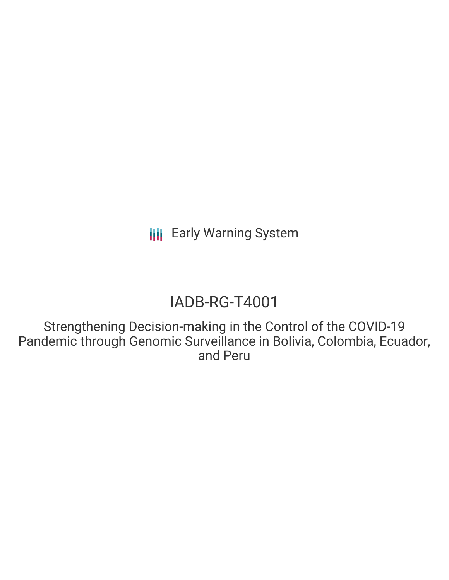# IADB-RG-T4001

Strengthening Decision-making in the Control of the COVID-19 Pandemic through Genomic Surveillance in Bolivia, Colombia, Ecuador, and Peru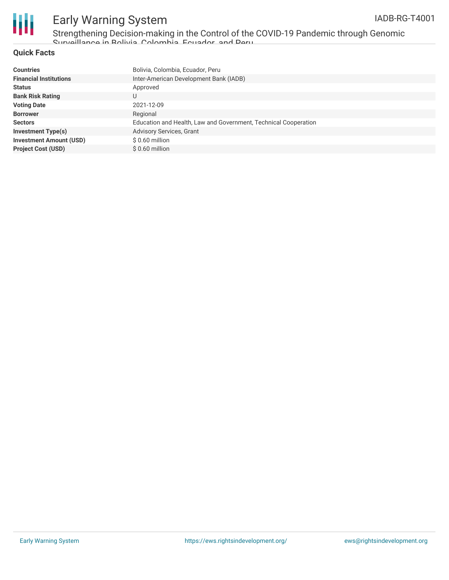

Strengthening Decision-making in the Control of the COVID-19 Pandemic through Genomic Surveillance in Bolivia, Colombia, Ecuador, and Peru

#### **Quick Facts**

| <b>Countries</b>               | Bolivia, Colombia, Ecuador, Peru                                |
|--------------------------------|-----------------------------------------------------------------|
| <b>Financial Institutions</b>  | Inter-American Development Bank (IADB)                          |
| <b>Status</b>                  | Approved                                                        |
| <b>Bank Risk Rating</b>        | U                                                               |
| <b>Voting Date</b>             | 2021-12-09                                                      |
| <b>Borrower</b>                | Regional                                                        |
| <b>Sectors</b>                 | Education and Health, Law and Government, Technical Cooperation |
| <b>Investment Type(s)</b>      | Advisory Services, Grant                                        |
| <b>Investment Amount (USD)</b> | $$0.60$ million                                                 |
| <b>Project Cost (USD)</b>      | $$0.60$ million                                                 |
|                                |                                                                 |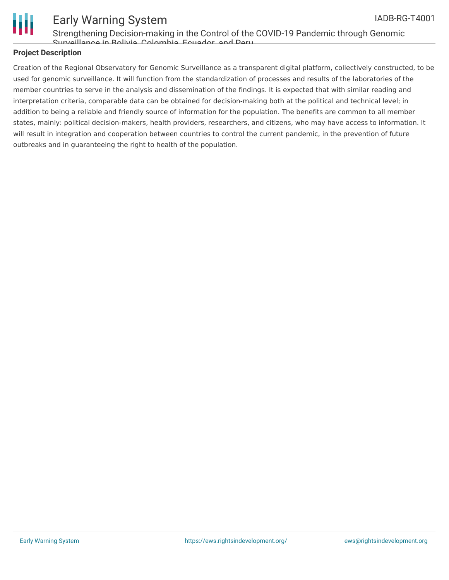

Strengthening Decision-making in the Control of the COVID-19 Pandemic through Genomic Surveillance in Bolivia, Colombia, Ecuador, and Peru

### **Project Description**

Creation of the Regional Observatory for Genomic Surveillance as a transparent digital platform, collectively constructed, to be used for genomic surveillance. It will function from the standardization of processes and results of the laboratories of the member countries to serve in the analysis and dissemination of the findings. It is expected that with similar reading and interpretation criteria, comparable data can be obtained for decision-making both at the political and technical level; in addition to being a reliable and friendly source of information for the population. The benefits are common to all member states, mainly: political decision-makers, health providers, researchers, and citizens, who may have access to information. It will result in integration and cooperation between countries to control the current pandemic, in the prevention of future outbreaks and in guaranteeing the right to health of the population.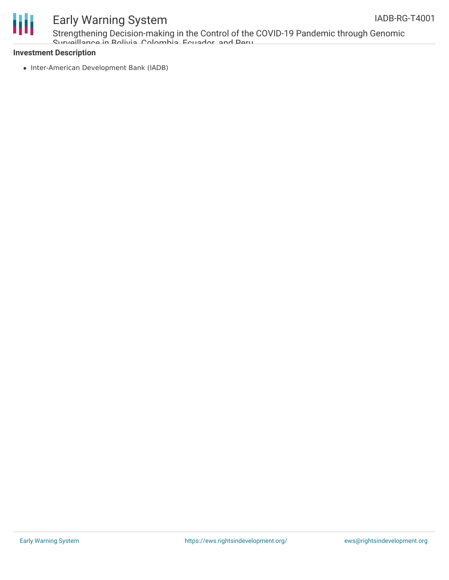

Strengthening Decision-making in the Control of the COVID-19 Pandemic through Genomic Surveillance in Bolivia, Colombia, Ecuador, and Peru

### **Investment Description**

• Inter-American Development Bank (IADB)